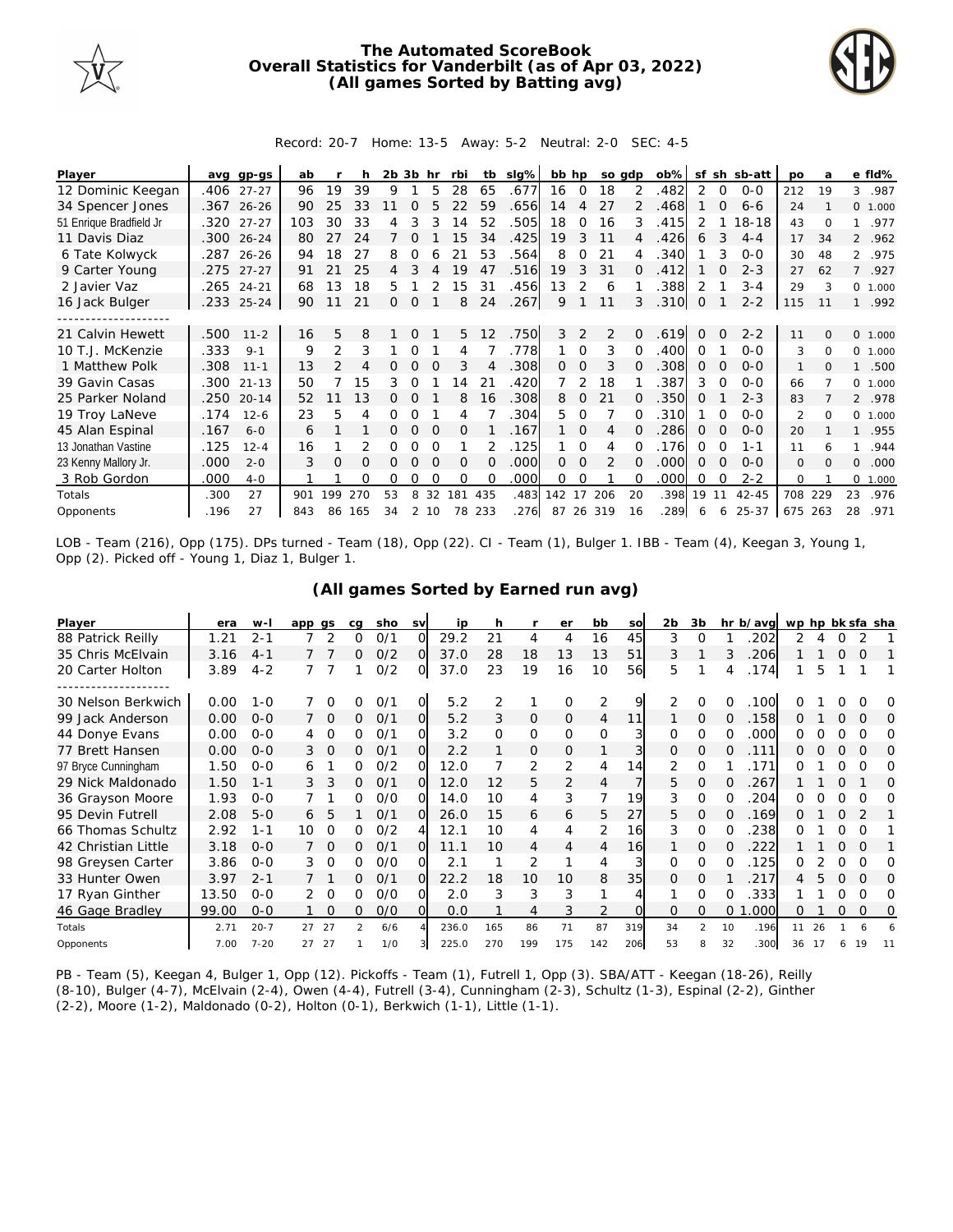

## **The Automated ScoreBook Overall Statistics for Vanderbilt (as of Apr 03, 2022) (All games Sorted by Batting avg)**



## Record: 20-7 Home: 13-5 Away: 5-2 Neutral: 2-0 SEC: 4-5

| Player                  | avq  | gp-gs      | ab  |               |     | 2b | -3b      | hr       | rbi      | tb       | slg% | bb hp |                | so adp        |          | $ob\%$ | sf          | sh       | sb-att    | <b>DO</b>     | a        |                | e fld%  |
|-------------------------|------|------------|-----|---------------|-----|----|----------|----------|----------|----------|------|-------|----------------|---------------|----------|--------|-------------|----------|-----------|---------------|----------|----------------|---------|
| 12 Dominic Keegan       | .406 | $27 - 27$  | 96  | 19            | 39  | 9  |          | 5        | 28       | 65       | .677 | 16    | $\overline{0}$ | 18            | 2        | .482   | 2           | 0        | $0 - 0$   | 212           | 19       | 3              | .987    |
| 34 Spencer Jones        |      | .367 26-26 | 90  | 25            | 33  |    |          |          |          | 59       | .656 | 14    | 4              | 27            |          | .468   |             |          | $6 - 6$   | 24            |          |                | 0 1.000 |
| 51 Enrique Bradfield Jr | .320 | $27 - 27$  | 103 | 30            | 33  | 4  |          |          | 14       | 52       | 505  | 18    | 0              | 16            | 3        | 415    | 2           |          | 18-18     | 43            | $\Omega$ |                | .977    |
| 11 Davis Diaz           | .300 | $26 - 24$  | 80  | 27            | 24  |    | O        |          | 15       | 34       | .425 | 19    | 3              | 11            | 4        | .426   | 6           | 3        | $4 - 4$   | 17            | 34       |                | 2 .962  |
| 6 Tate Kolwyck          | .287 | $26 - 26$  | 94  | 18            | 27  | 8  | Ω        |          |          | 53       | .564 | 8     | 0              | 21            |          | .340   |             | 3        | $O-O$     | 30            | 48       |                | 2 .975  |
| 9 Carter Young          | .275 | $27 - 27$  | 91  |               | 25  | 4  |          |          | 19       | 47       | .516 | 19    | 3              | 31            | 0        | 412    |             |          | $2 - 3$   | 27            | 62       | $\overline{7}$ | .927    |
| 2 Javier Vaz            | .265 | $24 - 21$  | 68  | 13            | 18  | 5  |          |          | 15       | 31       | .456 | 13    | 2              | 6             |          | .388   | 2           |          | $3 - 4$   | 29            | 3        | $\circ$        | 1.000   |
| 16 Jack Bulger          |      | .233 25-24 | 90  | 11            | 21  | 0  | 0        |          | 8        | 24       | .267 | 9     |                | 11            | 3        | .310   | $\mathbf 0$ |          | $2 - 2$   | 115           | 11       |                | .992    |
|                         |      |            |     |               |     |    |          |          |          |          |      |       |                |               |          |        |             |          |           |               |          |                |         |
| 21 Calvin Hewett        | .500 | $11 - 2$   | 16  | 5             | 8   |    | $\Omega$ |          | 5        | 12       | .750 | 3     | 2              | 2             | $\Omega$ | .619   | $\Omega$    | $\Omega$ | $2 - 2$   | 11            | $\Omega$ | $\circ$        | 1.000   |
| 10 T.J. McKenzie        | .333 | $9 - 1$    | 9   | 2             | 3   |    |          |          | 4        |          | .778 |       | $\Omega$       | 3             |          | .400   | 0           |          | $0 - 0$   | 3             | $\Omega$ | $\Omega$       | 1.000   |
| 1 Matthew Polk          | .308 | $11 - 1$   | 13  | $\mathcal{P}$ |     |    |          |          | 3        |          | 308  | 0     | 0              | 3             |          | .308   | O           |          | $0 - 0$   | $\mathbf{1}$  | $\Omega$ |                | .500    |
| 39 Gavin Casas          | .300 | $21 - 13$  | 50  |               | 15  | 3  | Ω        |          | 4        | 21       | .420 |       | 2              | 18            |          | .387   | 3           | $\Omega$ | $O-O$     | 66            |          | $\circ$        | 1.000   |
| 25 Parker Noland        | .250 | $20 - 14$  | 52  |               | 13  | 0  |          |          | 8        | 16       | .308 | 8     | 0              | 21            |          | .350   | $\Omega$    |          | $2 - 3$   | 83            |          |                | 2 .978  |
| 19 Troy LaNeve          | .174 | $12 - 6$   | 23  | 5             | 4   |    |          |          | 4        |          | 304  | 5.    | $\Omega$       |               |          | .310   |             |          | $O-O$     | $\mathcal{P}$ | $\Omega$ | $\Omega$       | 1.000   |
| 45 Alan Espinal         | .167 | $6 - 0$    | 6   |               |     | 0  | $\Omega$ | $\Omega$ | 0        |          | .167 |       | $\Omega$       | 4             | $\Omega$ | 286    | 0           | $\Omega$ | $O-O$     | 20            |          |                | .955    |
| 13 Jonathan Vastine     | .125 | $12 - 4$   | 16  |               |     | Ω  | O        |          |          |          | .125 |       | $\Omega$       | 4             |          | .176   | 0           | O        | $1 - 1$   | 11            |          |                | .944    |
| 23 Kenny Mallory Jr.    | .000 | $2 - 0$    | 3   | 0             | O   |    |          |          | $\Omega$ | $\Omega$ | .000 | 0     | $\Omega$       | $\mathcal{P}$ | $\Omega$ | .000   | Ω           | $\Omega$ | $0 - 0$   | $\mathbf{O}$  | $\Omega$ | $\mathbf{O}$   | .000    |
| 3 Rob Gordon            | .000 | $4-0$      |     |               | 0   | Ω  | Ο        | ∩        | $\Omega$ | O        | .000 | 0     | $\Omega$       |               |          | .000   | Ω           | O        | $2 - 2$   | $\Omega$      |          | $\Omega$       | 1.000   |
| Totals                  | .300 | 27         | 901 | 99            | 270 | 53 | 8        | 32       | 181      | 435      | .483 | 142   | 17             | 206           | 20       | .398   | 19          | 11       | $42 - 45$ | 708           | 229      | 23             | .976    |
| Opponents               | .196 | 27         | 843 | 86            | 165 | 34 | 2        | 10       | 78       | 233      | .276 | 87    |                | 26 319        | 16       | .289   | 6           | 6        | 25-37     | 675           | 263      | 28             | .971    |

LOB - Team (216), Opp (175). DPs turned - Team (18), Opp (22). CI - Team (1), Bulger 1. IBB - Team (4), Keegan 3, Young 1, Opp (2). Picked off - Young 1, Diaz 1, Bulger 1.

## **(All games Sorted by Earned run avg)**

| Player              | era   | $W -$    | app qs |                | cq | sho | <b>SV</b>      | ip    | h        |                | er           | bb             | SO        | 2b       | 3b             |          | hr b/avg   | wp hp bk sfa sha |     |          |          |     |
|---------------------|-------|----------|--------|----------------|----|-----|----------------|-------|----------|----------------|--------------|----------------|-----------|----------|----------------|----------|------------|------------------|-----|----------|----------|-----|
| 88 Patrick Reilly   | 1.21  | $2 - 1$  |        | $\overline{2}$ | Ω  | 0/1 | $\Omega$       | 29.2  | 21       | 4              | 4            | 16             | 45        | 3        | O              |          | 202        | 2                |     |          |          |     |
| 35 Chris McElvain   | 3.16  | $4 - 1$  |        |                | 0  | O/2 | $\Omega$       | 37.0  | 28       | 18             | 13           | 13             | 51        | 3        |                | 3        | 206        |                  |     | $\Omega$ | O        |     |
| 20 Carter Holton    | 3.89  | $4 - 2$  |        |                |    | 0/2 | 0              | 37.0  | 23       | 19             | 16           | 10             | <b>56</b> | 5        |                |          | .174       |                  | 5   |          |          |     |
|                     |       |          |        |                |    |     |                |       |          |                |              |                |           |          |                |          |            |                  |     |          |          |     |
| 30 Nelson Berkwich  | 0.00  | $1 - 0$  |        |                |    | O/1 | 0              | 5.2   |          |                | $\Omega$     | $\overline{2}$ | 9         | 2        | 0              |          | .100       |                  |     |          |          | O   |
| 99 Jack Anderson    | 0.00  | $0 - 0$  |        | $\Omega$       | 0  | 0/1 | $\overline{O}$ | 5.2   | 3        | $\Omega$       | $\Omega$     | 4              | 11        |          | $\Omega$       | $\Omega$ | .158       | Ω.               |     | 0        | O        | O   |
| 44 Donye Evans      | 0.00  | $0 - 0$  | 4      |                | 0  | 0/1 | $\Omega$       | 3.2   | $\Omega$ | 0              | $\Omega$     | $\Omega$       |           | $\Omega$ | $\Omega$       |          | .000       | 0                |     |          |          | Ω   |
| 77 Brett Hansen     | 0.00  | $0 - 0$  | 3.     | $\Omega$       | 0  | 0/1 | $\overline{O}$ | 2.2   |          | 0              | $\mathbf{0}$ |                |           | $\Omega$ | $\Omega$       |          | <b>111</b> |                  |     | $\Omega$ | $\Omega$ | O   |
| 97 Bryce Cunningham | 1.50  | $0 - 0$  | 6      |                | 0  | 0/2 | O              | 12.0  |          | 2              | 2            | 4              | 14        | 2        | $\Omega$       |          | 171        | O                |     | 0        | ∩        | Ω   |
| 29 Nick Maldonado   | 1.50  | $1 - 1$  | 3.     | 3              | 0  | 0/1 | O              | 12.0  |          | 5              | 2            | 4              |           | 5        | $\Omega$       |          | 267        |                  |     |          |          | O   |
| 36 Grayson Moore    | 1.93  | $0 - 0$  |        |                | 0  | O/O | O              | 14.0  | 10       | $\overline{4}$ | 3            | $\overline{7}$ | 19        | 3        | $\Omega$       |          | 204        | ∩                |     |          |          | Ω   |
| 95 Devin Futrell    | 2.08  | $5 - 0$  | 6      | 5              |    | 0/1 | $\Omega$       | 26.0  | 15       | 6              | 6            | 5              | 27        | 5        | $\Omega$       |          | 169        | 0                |     |          |          |     |
| 66 Thomas Schultz   | 2.92  | $1 - 1$  | 10     | O              | Ω  | 0/2 | 4              | 12.1  | 10       | 4              | 4            | 2              | 16        | 3        | $\Omega$       | $\Omega$ | 238        | 0                |     |          | Ω        |     |
| 42 Christian Little | 3.18  | $O - O$  |        | $\overline{0}$ | Ω  | 0/1 | Ω              | 11.1  | 10       | 4              | 4            |                | 16        |          | 0              |          | 222        |                  |     |          |          |     |
| 98 Greysen Carter   | 3.86  | $0 - 0$  | 3      | $\Omega$       | Ω  | O/O |                | 2.1   |          | 2              |              | 4              |           | 0        | $\Omega$       |          | 125        | 0                |     |          |          | O   |
| 33 Hunter Owen      | 3.97  | $2 - 1$  |        |                | 0  | 0/1 | $\Omega$       | 22.2  | 18       | 10             | 10           | 8              | 35        | $\Omega$ | $\Omega$       |          | 217        | 4                | 5   |          | $\Omega$ | ∩   |
| 17 Ryan Ginther     | 13.50 | $0 - 0$  | 2      | $\Omega$       | 0  | O/O | O              | 2.0   | 3        | 3              | 3            |                |           |          | O              |          | 333        |                  |     |          | ∩        | O   |
| 46 Gage Bradley     | 99.00 | $0 - 0$  |        | $\Omega$       | Ω  | O/O | Ω              | 0.0   |          | 4              | 3            | 2              |           | 0        | $\Omega$       | 0        | 000        | 0                |     | $\Omega$ | O        | O   |
| Totals              | 2.71  | $20 - 7$ | 27     | 27             | フ  | 6/6 |                | 236.0 | 165      | 86             | 71           | 87             | 319       | 34       | $\mathfrak{D}$ | 10       | .196       | 11               | 26  |          |          |     |
| Opponents           | 7.00  | $7 - 20$ | 27     | 27             |    | 1/0 |                | 225.0 | 270      | 199            | 175          | 142            | 206       | 53       | 8              | 32       | 300        | 36               | -17 | 6        | 19       | -11 |

PB - Team (5), Keegan 4, Bulger 1, Opp (12). Pickoffs - Team (1), Futrell 1, Opp (3). SBA/ATT - Keegan (18-26), Reilly (8-10), Bulger (4-7), McElvain (2-4), Owen (4-4), Futrell (3-4), Cunningham (2-3), Schultz (1-3), Espinal (2-2), Ginther (2-2), Moore (1-2), Maldonado (0-2), Holton (0-1), Berkwich (1-1), Little (1-1).